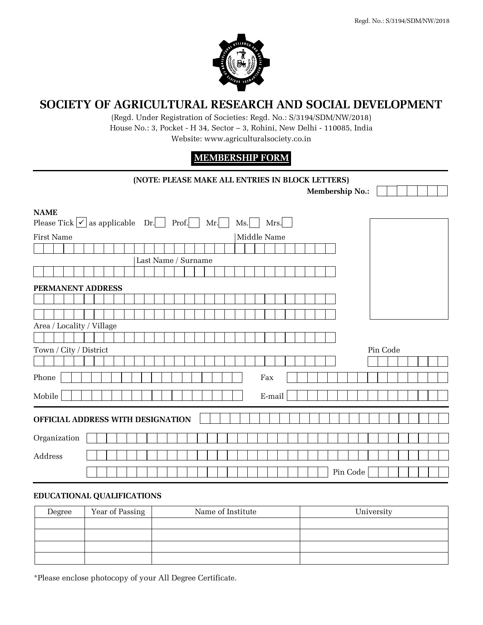

## **SOCIETY OF AGRICULTURAL RESEARCH AND SOCIAL DEVELOPMENT**

(Regd. Under Registration of Societies: Regd. No.: S/3194/SDM/NW/2018) House No.: 3, Pocket - H 34, Sector – 3, Rohini, New Delhi - 110085, India Website: www.agriculturalsociety.co.in

## **MEMBERSHIP FORM**

| (NOTE: PLEASE MAKE ALL ENTRIES IN BLOCK LETTERS)                                           |                        |  |  |  |
|--------------------------------------------------------------------------------------------|------------------------|--|--|--|
|                                                                                            | <b>Membership No.:</b> |  |  |  |
| <b>NAME</b><br>Please Tick $ \checkmark $ as applicable Dr.<br>Prof.<br>Mr.<br>Ms.<br>Mrs. |                        |  |  |  |
| Middle Name<br><b>First Name</b>                                                           |                        |  |  |  |
|                                                                                            |                        |  |  |  |
| Last Name / Surname                                                                        |                        |  |  |  |
|                                                                                            |                        |  |  |  |
| PERMANENT ADDRESS                                                                          |                        |  |  |  |
|                                                                                            |                        |  |  |  |
|                                                                                            |                        |  |  |  |
| Area / Locality / Village                                                                  |                        |  |  |  |
|                                                                                            |                        |  |  |  |
| Town / City / District                                                                     | Pin Code               |  |  |  |
|                                                                                            |                        |  |  |  |
| Phone<br>Fax                                                                               |                        |  |  |  |
|                                                                                            |                        |  |  |  |
| Mobile<br>E-mail                                                                           |                        |  |  |  |
| OFFICIAL ADDRESS WITH DESIGNATION                                                          |                        |  |  |  |
|                                                                                            |                        |  |  |  |
| Organization                                                                               |                        |  |  |  |
| Address                                                                                    |                        |  |  |  |
|                                                                                            | Pin Code               |  |  |  |
|                                                                                            |                        |  |  |  |

## **EDUCATIONAL QUALIFICATIONS**

| Degree | Year of Passing | Name of Institute | University |
|--------|-----------------|-------------------|------------|
|        |                 |                   |            |
|        |                 |                   |            |
|        |                 |                   |            |
|        |                 |                   |            |

\*Please enclose photocopy of your All Degree Certificate.